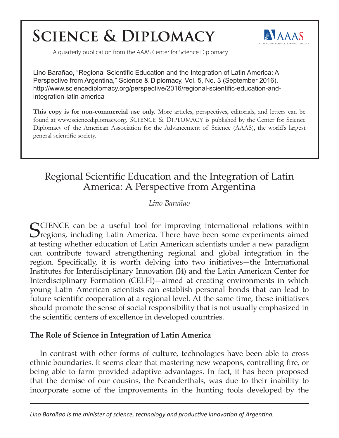# **SCIENCE & DIPLOMACY**



A quarterly publication from the AAAS Center for Science Diplomacy

Lino Barañao, "Regional Scientific Education and the Integration of Latin America: A Perspective from Argentina," Science & Diplomacy, Vol. 5, No. 3 (September 2016). http://www.sciencediplomacy.org/perspective/2016/regional-scientific-education-andintegration-latin-america

**This copy is for non-commercial use only.** More articles, perspectives, editorials, and letters can be found at www.sciencediplomacy.org. SCIENCE & DIPLOMACY is published by the Center for Science Diplomacy of the American Association for the Advancement of Science (AAAS), the world's largest general scientific society.

## Regional Scientific Education and the Integration of Latin America: A Perspective from Argentina

#### *Lino Barañao*

 $\bigcap$  CIENCE can be a useful tool for improving international relations within  $\mathbf{\mathcal{O}}$  regions, including Latin America. There have been some experiments aimed at testing whether education of Latin American scientists under a new paradigm can contribute toward strengthening regional and global integration in the region. Specifically, it is worth delving into two initiatives—the International Institutes for Interdisciplinary Innovation (I4) and the Latin American Center for Interdisciplinary Formation (CELFI)—aimed at creating environments in which young Latin American scientists can establish personal bonds that can lead to future scientific cooperation at a regional level. At the same time, these initiatives should promote the sense of social responsibility that is not usually emphasized in the scientific centers of excellence in developed countries.

#### **The Role of Science in Integration of Latin America**

In contrast with other forms of culture, technologies have been able to cross ethnic boundaries. It seems clear that mastering new weapons, controlling fire, or being able to farm provided adaptive advantages. In fact, it has been proposed that the demise of our cousins, the Neanderthals, was due to their inability to incorporate some of the improvements in the hunting tools developed by the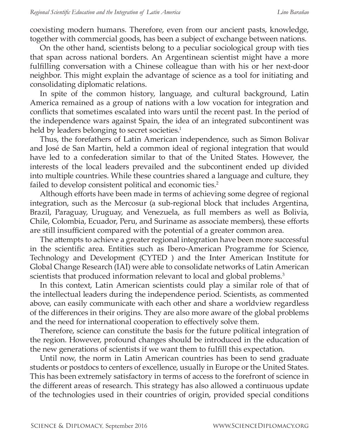coexisting modern humans. Therefore, even from our ancient pasts, knowledge, together with commercial goods, has been a subject of exchange between nations.

On the other hand, scientists belong to a peculiar sociological group with ties that span across national borders. An Argentinean scientist might have a more fulfilling conversation with a Chinese colleague than with his or her next-door neighbor. This might explain the advantage of science as a tool for initiating and consolidating diplomatic relations.

In spite of the common history, language, and cultural background, Latin America remained as a group of nations with a low vocation for integration and conflicts that sometimes escalated into wars until the recent past. In the period of the independence wars against Spain, the idea of an integrated subcontinent was held by leaders belonging to secret societies.<sup>1</sup>

Thus, the forefathers of Latin American independence, such as Simon Bolivar and José de San Martin, held a common ideal of regional integration that would have led to a confederation similar to that of the United States. However, the interests of the local leaders prevailed and the subcontinent ended up divided into multiple countries. While these countries shared a language and culture, they failed to develop consistent political and economic ties.<sup>2</sup>

Although efforts have been made in terms of achieving some degree of regional integration, such as the Mercosur (a sub-regional block that includes Argentina, Brazil, Paraguay, Uruguay, and Venezuela, as full members as well as Bolivia, Chile, Colombia, Ecuador, Peru, and Suriname as associate members), these efforts are still insufficient compared with the potential of a greater common area.

The attempts to achieve a greater regional integration have been more successful in the scientific area. Entities such as Ibero-American Programme for Science, Technology and Development (CYTED ) and the Inter American Institute for Global Change Research (IAI) were able to consolidate networks of Latin American scientists that produced information relevant to local and global problems.<sup>3</sup>

In this context, Latin American scientists could play a similar role of that of the intellectual leaders during the independence period. Scientists, as commented above, can easily communicate with each other and share a worldview regardless of the differences in their origins. They are also more aware of the global problems and the need for international cooperation to effectively solve them.

Therefore, science can constitute the basis for the future political integration of the region. However, profound changes should be introduced in the education of the new generations of scientists if we want them to fulfill this expectation.

Until now, the norm in Latin American countries has been to send graduate students or postdocs to centers of excellence, usually in Europe or the United States. This has been extremely satisfactory in terms of access to the forefront of science in the different areas of research. This strategy has also allowed a continuous update of the technologies used in their countries of origin, provided special conditions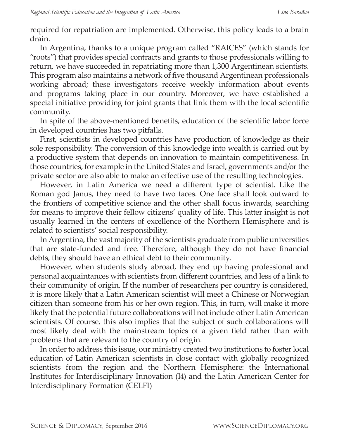required for repatriation are implemented. Otherwise, this policy leads to a brain drain.

In Argentina, thanks to a unique program called "RAICES" (which stands for "roots") that provides special contracts and grants to those professionals willing to return, we have succeeded in repatriating more than 1,300 Argentinean scientists. This program also maintains a network of five thousand Argentinean professionals working abroad; these investigators receive weekly information about events and programs taking place in our country. Moreover, we have established a special initiative providing for joint grants that link them with the local scientific community.

In spite of the above-mentioned benefits, education of the scientific labor force in developed countries has two pitfalls.

First, scientists in developed countries have production of knowledge as their sole responsibility. The conversion of this knowledge into wealth is carried out by a productive system that depends on innovation to maintain competitiveness. In those countries, for example in the United States and Israel, governments and/or the private sector are also able to make an effective use of the resulting technologies.

However, in Latin America we need a different type of scientist. Like the Roman god Janus, they need to have two faces. One face shall look outward to the frontiers of competitive science and the other shall focus inwards, searching for means to improve their fellow citizens' quality of life. This latter insight is not usually learned in the centers of excellence of the Northern Hemisphere and is related to scientists' social responsibility.

In Argentina, the vast majority of the scientists graduate from public universities that are state-funded and free. Therefore, although they do not have financial debts, they should have an ethical debt to their community.

However, when students study abroad, they end up having professional and personal acquaintances with scientists from different countries, and less of a link to their community of origin. If the number of researchers per country is considered, it is more likely that a Latin American scientist will meet a Chinese or Norwegian citizen than someone from his or her own region. This, in turn, will make it more likely that the potential future collaborations will not include other Latin American scientists. Of course, this also implies that the subject of such collaborations will most likely deal with the mainstream topics of a given field rather than with problems that are relevant to the country of origin.

In order to address this issue, our ministry created two institutions to foster local education of Latin American scientists in close contact with globally recognized scientists from the region and the Northern Hemisphere: the International Institutes for Interdisciplinary Innovation (I4) and the Latin American Center for Interdisciplinary Formation (CELFI)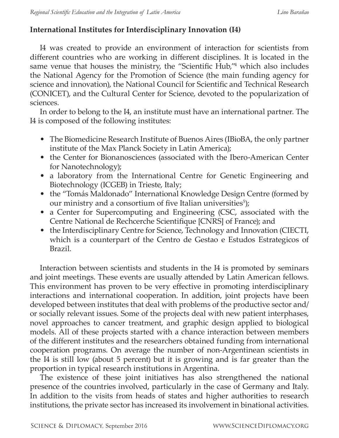### **International Institutes for Interdisciplinary Innovation (I4)**

I4 was created to provide an environment of interaction for scientists from different countries who are working in different disciplines. It is located in the same venue that houses the ministry, the "Scientific Hub,"4 which also includes the National Agency for the Promotion of Science (the main funding agency for science and innovation), the National Council for Scientific and Technical Research (CONICET), and the Cultural Center for Science, devoted to the popularization of sciences.

In order to belong to the I4, an institute must have an international partner. The I4 is composed of the following institutes:

- The Biomedicine Research Institute of Buenos Aires (IBioBA, the only partner institute of the Max Planck Society in Latin America);
- the Center for Bionanosciences (associated with the Ibero-American Center for Nanotechnology);
- a laboratory from the International Centre for Genetic Engineering and Biotechnology (ICGEB) in Trieste, Italy;
- the "Tomás Maldonado" International Knowledge Design Centre (formed by our ministry and a consortium of five Italian universities<sup>5</sup>);
- a Center for Supercomputing and Engineering (CSC, associated with the Centre National de Rechcerche Scientifique [CNRS] of France); and
- the Interdisciplinary Centre for Science, Technology and Innovation (CIECTI, which is a counterpart of the Centro de Gestao e Estudos Estrategicos of Brazil.

Interaction between scientists and students in the I4 is promoted by seminars and joint meetings. These events are usually attended by Latin American fellows. This environment has proven to be very effective in promoting interdisciplinary interactions and international cooperation. In addition, joint projects have been developed between institutes that deal with problems of the productive sector and/ or socially relevant issues. Some of the projects deal with new patient interphases, novel approaches to cancer treatment, and graphic design applied to biological models. All of these projects started with a chance interaction between members of the different institutes and the researchers obtained funding from international cooperation programs. On average the number of non-Argentinean scientists in the I4 is still low (about 5 percent) but it is growing and is far greater than the proportion in typical research institutions in Argentina.

The existence of these joint initiatives has also strengthened the national presence of the countries involved, particularly in the case of Germany and Italy. In addition to the visits from heads of states and higher authorities to research institutions, the private sector has increased its involvement in binational activities.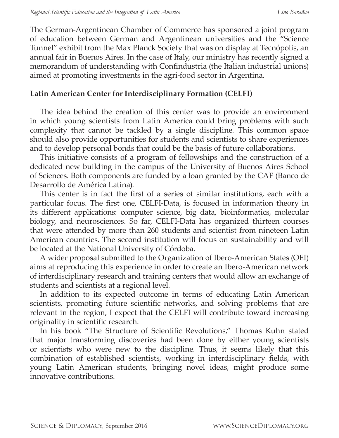The German-Argentinean Chamber of Commerce has sponsored a joint program of education between German and Argentinean universities and the "Science Tunnel" exhibit from the Max Planck Society that was on display at Tecnópolis, an annual fair in Buenos Aires. In the case of Italy, our ministry has recently signed a memorandum of understanding with Confindustria (the Italian industrial unions) aimed at promoting investments in the agri-food sector in Argentina.

#### **Latin American Center for Interdisciplinary Formation (CELFI)**

The idea behind the creation of this center was to provide an environment in which young scientists from Latin America could bring problems with such complexity that cannot be tackled by a single discipline. This common space should also provide opportunities for students and scientists to share experiences and to develop personal bonds that could be the basis of future collaborations.

This initiative consists of a program of fellowships and the construction of a dedicated new building in the campus of the University of Buenos Aires School of Sciences. Both components are funded by a loan granted by the CAF (Banco de Desarrollo de América Latina).

This center is in fact the first of a series of similar institutions, each with a particular focus. The first one, CELFI-Data, is focused in information theory in its different applications: computer science, big data, bioinformatics, molecular biology, and neurosciences. So far, CELFI-Data has organized thirteen courses that were attended by more than 260 students and scientist from nineteen Latin American countries. The second institution will focus on sustainability and will be located at the National University of Córdoba.

A wider proposal submitted to the Organization of Ibero-American States (OEI) aims at reproducing this experience in order to create an Ibero-American network of interdisciplinary research and training centers that would allow an exchange of students and scientists at a regional level.

In addition to its expected outcome in terms of educating Latin American scientists, promoting future scientific networks, and solving problems that are relevant in the region, I expect that the CELFI will contribute toward increasing originality in scientific research.

In his book "The Structure of Scientific Revolutions," Thomas Kuhn stated that major transforming discoveries had been done by either young scientists or scientists who were new to the discipline. Thus, it seems likely that this combination of established scientists, working in interdisciplinary fields, with young Latin American students, bringing novel ideas, might produce some innovative contributions.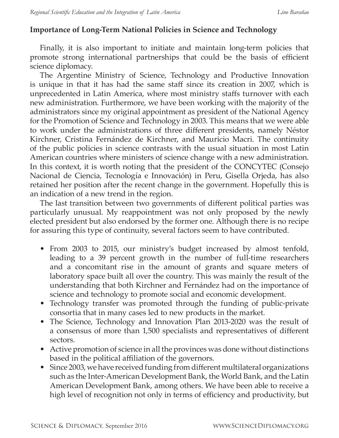#### **Importance of Long-Term National Policies in Science and Technology**

Finally, it is also important to initiate and maintain long-term policies that promote strong international partnerships that could be the basis of efficient science diplomacy.

The Argentine Ministry of Science, Technology and Productive Innovation is unique in that it has had the same staff since its creation in 2007, which is unprecedented in Latin America, where most ministry staffs turnover with each new administration. Furthermore, we have been working with the majority of the administrators since my original appointment as president of the National Agency for the Promotion of Science and Technology in 2003. This means that we were able to work under the administrations of three different presidents, namely Néstor Kirchner, Cristina Fernández de Kirchner, and Mauricio Macri. The continuity of the public policies in science contrasts with the usual situation in most Latin American countries where ministers of science change with a new administration. In this context, it is worth noting that the president of the CONCYTEC (Consejo Nacional de Ciencia, Tecnología e Innovación) in Peru, Gisella Orjeda, has also retained her position after the recent change in the government. Hopefully this is an indication of a new trend in the region.

The last transition between two governments of different political parties was particularly unusual. My reappointment was not only proposed by the newly elected president but also endorsed by the former one. Although there is no recipe for assuring this type of continuity, several factors seem to have contributed.

- From 2003 to 2015, our ministry's budget increased by almost tenfold, leading to a 39 percent growth in the number of full-time researchers and a concomitant rise in the amount of grants and square meters of laboratory space built all over the country. This was mainly the result of the understanding that both Kirchner and Fernández had on the importance of science and technology to promote social and economic development.
- Technology transfer was promoted through the funding of public-private consortia that in many cases led to new products in the market.
- The Science, Technology and Innovation Plan 2013-2020 was the result of a consensus of more than 1,500 specialists and representatives of different sectors.
- Active promotion of science in all the provinces was done without distinctions based in the political affiliation of the governors.
- Since 2003, we have received funding from different multilateral organizations such as the Inter-American Development Bank, the World Bank, and the Latin American Development Bank, among others. We have been able to receive a high level of recognition not only in terms of efficiency and productivity, but